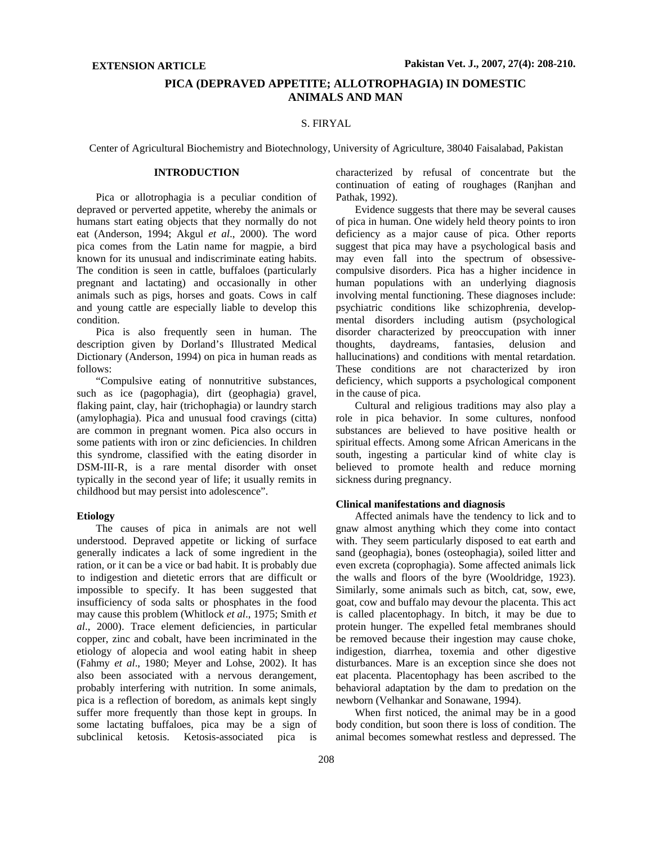# **PICA (DEPRAVED APPETITE; ALLOTROPHAGIA) IN DOMESTIC ANIMALS AND MAN**

### S. FIRYAL

Center of Agricultural Biochemistry and Biotechnology, University of Agriculture, 38040 Faisalabad, Pakistan

## **INTRODUCTION**

Pica or allotrophagia is a peculiar condition of depraved or perverted appetite, whereby the animals or humans start eating objects that they normally do not eat (Anderson, 1994; Akgul *et al*., 2000). The word pica comes from the Latin name for magpie, a bird known for its unusual and indiscriminate eating habits. The condition is seen in cattle, buffaloes (particularly pregnant and lactating) and occasionally in other animals such as pigs, horses and goats. Cows in calf and young cattle are especially liable to develop this condition.

Pica is also frequently seen in human. The description given by Dorland's Illustrated Medical Dictionary (Anderson, 1994) on pica in human reads as follows:

"Compulsive eating of nonnutritive substances, such as ice (pagophagia), dirt (geophagia) gravel, flaking paint, clay, hair (trichophagia) or laundry starch (amylophagia). Pica and unusual food cravings (citta) are common in pregnant women. Pica also occurs in some patients with iron or zinc deficiencies. In children this syndrome, classified with the eating disorder in DSM-III-R, is a rare mental disorder with onset typically in the second year of life; it usually remits in childhood but may persist into adolescence".

#### **Etiology**

The causes of pica in animals are not well understood. Depraved appetite or licking of surface generally indicates a lack of some ingredient in the ration, or it can be a vice or bad habit. It is probably due to indigestion and dietetic errors that are difficult or impossible to specify. It has been suggested that insufficiency of soda salts or phosphates in the food may cause this problem (Whitlock *et al*., 1975; Smith *et al*., 2000). Trace element deficiencies, in particular copper, zinc and cobalt, have been incriminated in the etiology of alopecia and wool eating habit in sheep (Fahmy *et al*., 1980; Meyer and Lohse, 2002). It has also been associated with a nervous derangement, probably interfering with nutrition. In some animals, pica is a reflection of boredom, as animals kept singly suffer more frequently than those kept in groups. In some lactating buffaloes, pica may be a sign of subclinical ketosis. Ketosis-associated pica is

characterized by refusal of concentrate but the continuation of eating of roughages (Ranjhan and Pathak, 1992).

Evidence suggests that there may be several causes of pica in human. One widely held theory points to iron deficiency as a major cause of pica. Other reports suggest that pica may have a psychological basis and may even fall into the spectrum of obsessivecompulsive disorders. Pica has a higher incidence in human populations with an underlying diagnosis involving mental functioning. These diagnoses include: psychiatric conditions like schizophrenia, developmental disorders including autism (psychological disorder characterized by preoccupation with inner thoughts, daydreams, fantasies, delusion and hallucinations) and conditions with mental retardation. These conditions are not characterized by iron deficiency, which supports a psychological component in the cause of pica.

Cultural and religious traditions may also play a role in pica behavior. In some cultures, nonfood substances are believed to have positive health or spiritual effects. Among some African Americans in the south, ingesting a particular kind of white clay is believed to promote health and reduce morning sickness during pregnancy.

# **Clinical manifestations and diagnosis**

Affected animals have the tendency to lick and to gnaw almost anything which they come into contact with. They seem particularly disposed to eat earth and sand (geophagia), bones (osteophagia), soiled litter and even excreta (coprophagia). Some affected animals lick the walls and floors of the byre (Wooldridge, 1923). Similarly, some animals such as bitch, cat, sow, ewe, goat, cow and buffalo may devour the placenta. This act is called placentophagy. In bitch, it may be due to protein hunger. The expelled fetal membranes should be removed because their ingestion may cause choke, indigestion, diarrhea, toxemia and other digestive disturbances. Mare is an exception since she does not eat placenta. Placentophagy has been ascribed to the behavioral adaptation by the dam to predation on the newborn (Velhankar and Sonawane, 1994).

When first noticed, the animal may be in a good body condition, but soon there is loss of condition. The animal becomes somewhat restless and depressed. The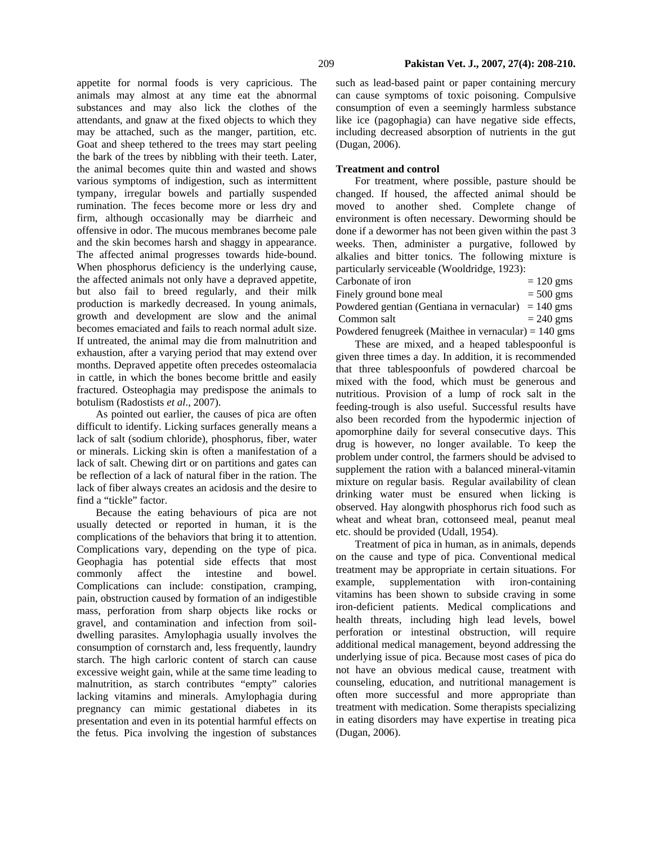appetite for normal foods is very capricious. The animals may almost at any time eat the abnormal substances and may also lick the clothes of the attendants, and gnaw at the fixed objects to which they may be attached, such as the manger, partition, etc. Goat and sheep tethered to the trees may start peeling the bark of the trees by nibbling with their teeth. Later, the animal becomes quite thin and wasted and shows various symptoms of indigestion, such as intermittent tympany, irregular bowels and partially suspended rumination. The feces become more or less dry and firm, although occasionally may be diarrheic and offensive in odor. The mucous membranes become pale and the skin becomes harsh and shaggy in appearance. The affected animal progresses towards hide-bound. When phosphorus deficiency is the underlying cause, the affected animals not only have a depraved appetite, but also fail to breed regularly, and their milk production is markedly decreased. In young animals, growth and development are slow and the animal becomes emaciated and fails to reach normal adult size. If untreated, the animal may die from malnutrition and exhaustion, after a varying period that may extend over months. Depraved appetite often precedes osteomalacia in cattle, in which the bones become brittle and easily fractured. Osteophagia may predispose the animals to botulism (Radostists *et al*., 2007).

As pointed out earlier, the causes of pica are often difficult to identify. Licking surfaces generally means a lack of salt (sodium chloride), phosphorus, fiber, water or minerals. Licking skin is often a manifestation of a lack of salt. Chewing dirt or on partitions and gates can be reflection of a lack of natural fiber in the ration. The lack of fiber always creates an acidosis and the desire to find a "tickle" factor.

Because the eating behaviours of pica are not usually detected or reported in human, it is the complications of the behaviors that bring it to attention. Complications vary, depending on the type of pica. Geophagia has potential side effects that most commonly affect the intestine and bowel. Complications can include: constipation, cramping, pain, obstruction caused by formation of an indigestible mass, perforation from sharp objects like rocks or gravel, and contamination and infection from soildwelling parasites. Amylophagia usually involves the consumption of cornstarch and, less frequently, laundry starch. The high carloric content of starch can cause excessive weight gain, while at the same time leading to malnutrition, as starch contributes "empty" calories lacking vitamins and minerals. Amylophagia during pregnancy can mimic gestational diabetes in its presentation and even in its potential harmful effects on the fetus. Pica involving the ingestion of substances

such as lead-based paint or paper containing mercury can cause symptoms of toxic poisoning. Compulsive consumption of even a seemingly harmless substance like ice (pagophagia) can have negative side effects, including decreased absorption of nutrients in the gut (Dugan, 2006).

### **Treatment and control**

For treatment, where possible, pasture should be changed. If housed, the affected animal should be moved to another shed. Complete change of environment is often necessary. Deworming should be done if a dewormer has not been given within the past 3 weeks. Then, administer a purgative, followed by alkalies and bitter tonics. The following mixture is particularly serviceable (Wooldridge, 1923):

| Carbonate of iron                                              | $= 120$ gms |
|----------------------------------------------------------------|-------------|
| Finely ground bone meal                                        | $= 500$ gms |
| Powdered gentian (Gentiana in vernacular) = $140 \text{ gms}$  |             |
| Common salt                                                    | $= 240$ gms |
| Powdered fenugreek (Maithee in vernacular) = $140 \text{ gms}$ |             |

These are mixed, and a heaped tablespoonful is given three times a day. In addition, it is recommended that three tablespoonfuls of powdered charcoal be mixed with the food, which must be generous and nutritious. Provision of a lump of rock salt in the feeding-trough is also useful. Successful results have also been recorded from the hypodermic injection of apomorphine daily for several consecutive days. This drug is however, no longer available. To keep the problem under control, the farmers should be advised to supplement the ration with a balanced mineral-vitamin mixture on regular basis. Regular availability of clean drinking water must be ensured when licking is observed. Hay alongwith phosphorus rich food such as wheat and wheat bran, cottonseed meal, peanut meal etc. should be provided (Udall, 1954).

Treatment of pica in human, as in animals, depends on the cause and type of pica. Conventional medical treatment may be appropriate in certain situations. For example, supplementation with iron-containing vitamins has been shown to subside craving in some iron-deficient patients. Medical complications and health threats, including high lead levels, bowel perforation or intestinal obstruction, will require additional medical management, beyond addressing the underlying issue of pica. Because most cases of pica do not have an obvious medical cause, treatment with counseling, education, and nutritional management is often more successful and more appropriate than treatment with medication. Some therapists specializing in eating disorders may have expertise in treating pica (Dugan, 2006).